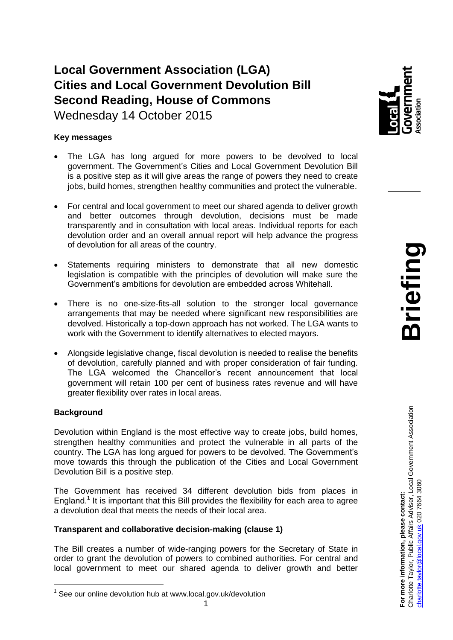# **Local Government Association (LGA) Cities and Local Government Devolution Bill Second Reading, House of Commons**

Wednesday 14 October 2015

## **Key messages**

- The LGA has long argued for more powers to be devolved to local government. The Government's Cities and Local Government Devolution Bill is a positive step as it will give areas the range of powers they need to create jobs, build homes, strengthen healthy communities and protect the vulnerable.
- For central and local government to meet our shared agenda to deliver growth and better outcomes through devolution, decisions must be made transparently and in consultation with local areas. Individual reports for each devolution order and an overall annual report will help advance the progress of devolution for all areas of the country.
- Statements requiring ministers to demonstrate that all new domestic legislation is compatible with the principles of devolution will make sure the Government's ambitions for devolution are embedded across Whitehall.
- There is no one-size-fits-all solution to the stronger local governance arrangements that may be needed where significant new responsibilities are devolved. Historically a top-down approach has not worked. The LGA wants to work with the Government to identify alternatives to elected mayors.
- Alongside legislative change, fiscal devolution is needed to realise the benefits of devolution, carefully planned and with proper consideration of fair funding. The LGA welcomed the Chancellor's recent announcement that local government will retain 100 per cent of business rates revenue and will have greater flexibility over rates in local areas.

## **Background**

Devolution within England is the most effective way to create jobs, build homes, strengthen healthy communities and protect the vulnerable in all parts of the country. The LGA has long argued for powers to be devolved. The Government's move towards this through the publication of the Cities and Local Government Devolution Bill is a positive step.

The Government has received 34 different devolution bids from places in England.<sup>1</sup> It is important that this Bill provides the flexibility for each area to agree a devolution deal that meets the needs of their local area.

## **Transparent and collaborative decision-making (clause 1)**

The Bill creates a number of wide-ranging powers for the Secretary of State in order to grant the devolution of powers to combined authorities. For central and local government to meet our shared agenda to deliver growth and better



<sup>&</sup>lt;sup>1</sup> See our online devolution hub at www.local.gov.uk/devolution